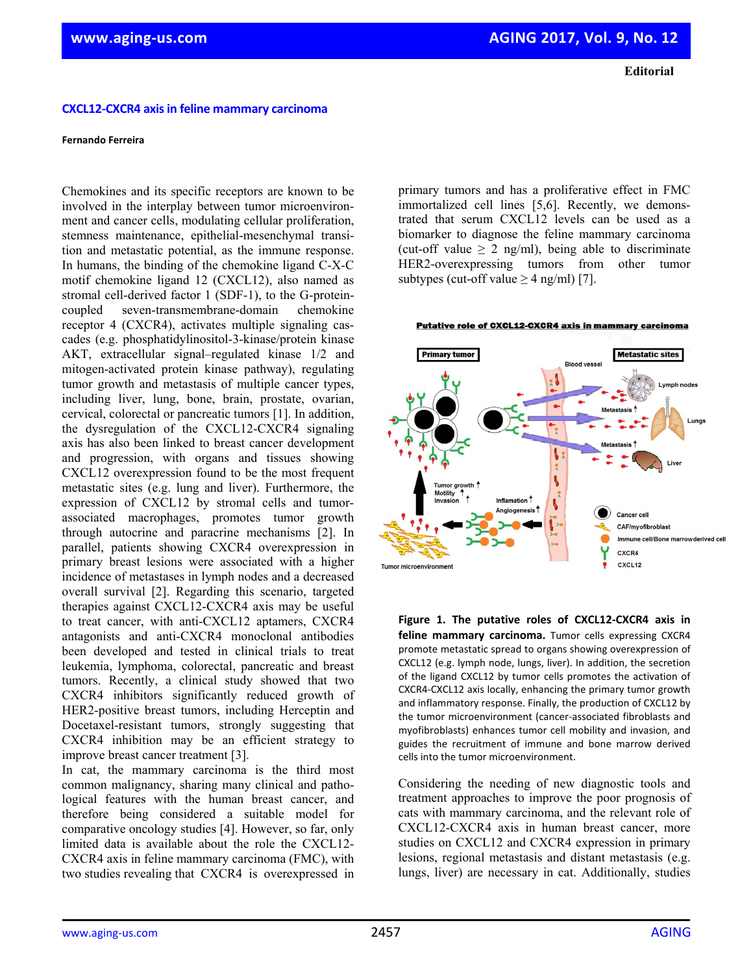**Editorial**

## **CXCL12‐CXCR4 axisin feline mammary carcinoma**

## **Fernando Ferreira**

Chemokines and its specific receptors are known to be involved in the interplay between tumor microenvironment and cancer cells, modulating cellular proliferation, stemness maintenance, epithelial-mesenchymal transition and metastatic potential, as the immune response. In humans, the binding of the chemokine ligand C-X-C motif chemokine ligand 12 (CXCL12), also named as stromal cell-derived factor 1 (SDF-1), to the G-proteincoupled seven-transmembrane-domain chemokine receptor 4 (CXCR4), activates multiple signaling cascades (e.g. phosphatidylinositol-3-kinase/protein kinase AKT, extracellular signal–regulated kinase 1/2 and mitogen-activated protein kinase pathway), regulating tumor growth and metastasis of multiple cancer types, including liver, lung, bone, brain, prostate, ovarian, cervical, colorectal or pancreatic tumors [1]. In addition, the dysregulation of the CXCL12-CXCR4 signaling axis has also been linked to breast cancer development and progression, with organs and tissues showing CXCL12 overexpression found to be the most frequent metastatic sites (e.g. lung and liver). Furthermore, the expression of CXCL12 by stromal cells and tumorassociated macrophages, promotes tumor growth through autocrine and paracrine mechanisms [2]. In parallel, patients showing CXCR4 overexpression in primary breast lesions were associated with a higher incidence of metastases in lymph nodes and a decreased overall survival [2]. Regarding this scenario, targeted therapies against CXCL12-CXCR4 axis may be useful to treat cancer, with anti-CXCL12 aptamers, CXCR4 antagonists and anti-CXCR4 monoclonal antibodies been developed and tested in clinical trials to treat leukemia, lymphoma, colorectal, pancreatic and breast tumors. Recently, a clinical study showed that two CXCR4 inhibitors significantly reduced growth of HER2-positive breast tumors, including Herceptin and Docetaxel-resistant tumors, strongly suggesting that CXCR4 inhibition may be an efficient strategy to improve breast cancer treatment [3].

In cat, the mammary carcinoma is the third most common malignancy, sharing many clinical and pathological features with the human breast cancer, and therefore being considered a suitable model for comparative oncology studies [4]. However, so far, only limited data is available about the role the CXCL12- CXCR4 axis in feline mammary carcinoma (FMC), with two studies revealing that CXCR4 is overexpressed in primary tumors and has a proliferative effect in FMC immortalized cell lines [5,6]. Recently, we demonstrated that serum CXCL12 levels can be used as a biomarker to diagnose the feline mammary carcinoma (cut-off value  $\geq 2$  ng/ml), being able to discriminate HER2-overexpressing tumors from other tumor subtypes (cut-off value  $\geq 4$  ng/ml) [7].



**Figure 1. The putative roles of CXCL12‐CXCR4 axis in feline mammary carcinoma.** Tumor cells expressing CXCR4 promote metastatic spread to organs showing overexpression of CXCL12 (e.g. lymph node, lungs, liver). In addition, the secretion of the ligand CXCL12 by tumor cells promotes the activation of CXCR4‐CXCL12 axis locally, enhancing the primary tumor growth and inflammatory response. Finally, the production of CXCL12 by the tumor microenvironment (cancer‐associated fibroblasts and myofibroblasts) enhances tumor cell mobility and invasion, and guides the recruitment of immune and bone marrow derived cells into the tumor microenvironment.

Considering the needing of new diagnostic tools and treatment approaches to improve the poor prognosis of cats with mammary carcinoma, and the relevant role of CXCL12-CXCR4 axis in human breast cancer, more studies on CXCL12 and CXCR4 expression in primary lesions, regional metastasis and distant metastasis (e.g. lungs, liver) are necessary in cat. Additionally, studies